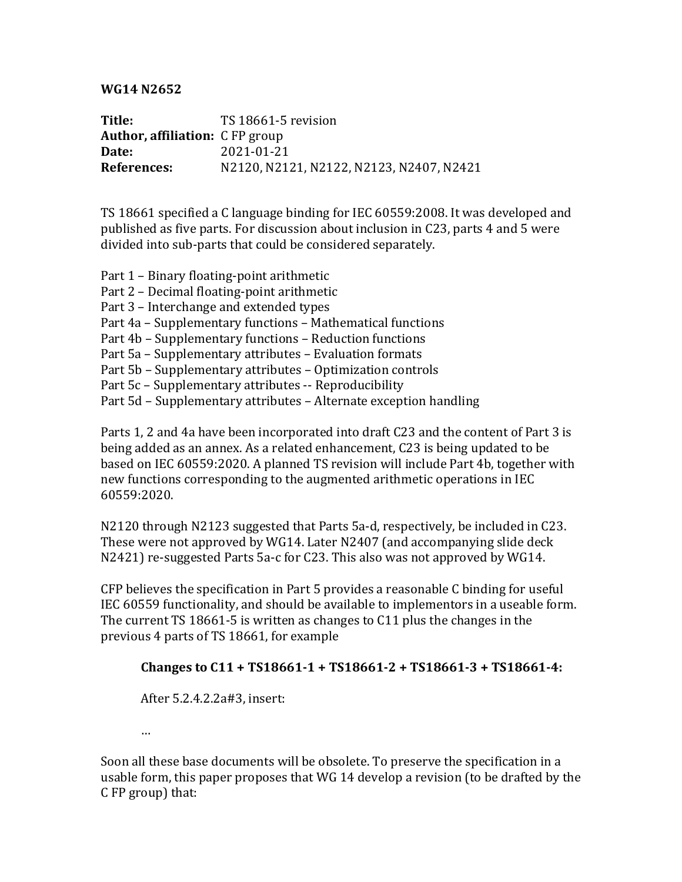## **WG14 N2652**

**Title:** TS 18661-5 revision **Author, affiliation:** C FP group **Date:** 2021-01-21 **References:** N2120, N2121, N2122, N2123, N2407, N2421

TS 18661 specified a C language binding for IEC 60559:2008. It was developed and published as five parts. For discussion about inclusion in C23, parts 4 and 5 were divided into sub-parts that could be considered separately.

- Part 1 Binary floating-point arithmetic
- Part 2 Decimal floating-point arithmetic
- Part 3 Interchange and extended types
- Part 4a Supplementary functions Mathematical functions
- Part 4b Supplementary functions Reduction functions
- Part 5a Supplementary attributes Evaluation formats
- Part 5b Supplementary attributes Optimization controls
- Part 5c Supplementary attributes -- Reproducibility
- Part 5d Supplementary attributes Alternate exception handling

Parts 1, 2 and 4a have been incorporated into draft C23 and the content of Part 3 is being added as an annex. As a related enhancement, C23 is being updated to be based on IEC 60559:2020. A planned TS revision will include Part 4b, together with new functions corresponding to the augmented arithmetic operations in IEC 60559:2020.

N2120 through N2123 suggested that Parts 5a-d, respectively, be included in C23. These were not approved by WG14. Later N2407 (and accompanying slide deck N2421) re-suggested Parts 5a-c for C23. This also was not approved by WG14.

CFP believes the specification in Part 5 provides a reasonable C binding for useful IEC 60559 functionality, and should be available to implementors in a useable form. The current  $TS$  18661-5 is written as changes to  $C11$  plus the changes in the previous 4 parts of TS 18661, for example

## Changes to C11 + TS18661-1 + TS18661-2 + TS18661-3 + TS18661-4:

After 5.2.4.2.2a#3, insert:

…

Soon all these base documents will be obsolete. To preserve the specification in a usable form, this paper proposes that WG 14 develop a revision (to be drafted by the C FP group) that: